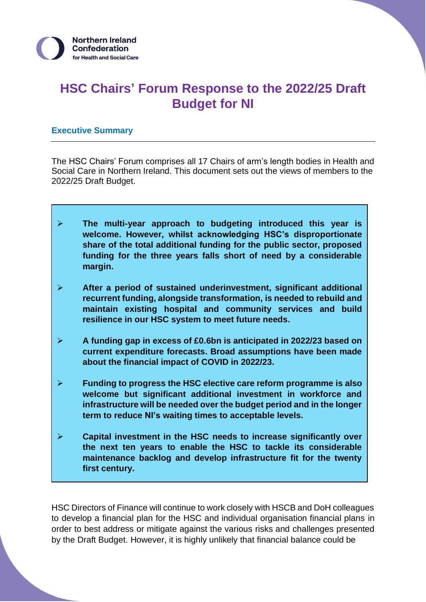# **HSC Chairs' Forum Response to the 2022/25 Draft Budget for NI**

# **Executive Summary**

The HSC Chairs' Forum comprises all 17 Chairs of arm's length bodies in Health and Social Care in Northern Ireland. This document sets out the views of members to the 2022/25 Draft Budget.

- ➢ **The multi-year approach to budgeting introduced this year is welcome. However, whilst acknowledging HSC's disproportionate share of the total additional funding for the public sector, proposed funding for the three years falls short of need by a considerable margin.**
- ➢ **After a period of sustained underinvestment, significant additional recurrent funding, alongside transformation, is needed to rebuild and maintain existing hospital and community services and build resilience in our HSC system to meet future needs.**
- ➢ **A funding gap in excess of £0.6bn is anticipated in 2022/23 based on current expenditure forecasts. Broad assumptions have been made about the financial impact of COVID in 2022/23.**
- ➢ **Funding to progress the HSC elective care reform programme is also welcome but significant additional investment in workforce and infrastructure will be needed over the budget period and in the longer term to reduce NI's waiting times to acceptable levels.**
- ➢ **Capital investment in the HSC needs to increase significantly over the next ten years to enable the HSC to tackle its considerable maintenance backlog and develop infrastructure fit for the twenty first century.**

HSC Directors of Finance will continue to work closely with HSCB and DoH colleagues to develop a financial plan for the HSC and individual organisation financial plans in order to best address or mitigate against the various risks and challenges presented by the Draft Budget. However, it is highly unlikely that financial balance could be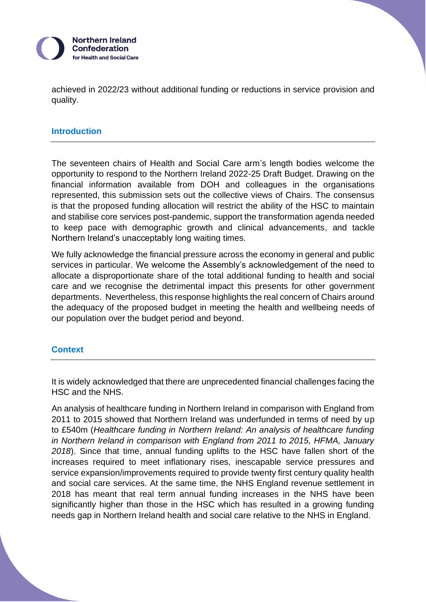

achieved in 2022/23 without additional funding or reductions in service provision and quality.

#### **Introduction**

The seventeen chairs of Health and Social Care arm's length bodies welcome the opportunity to respond to the Northern Ireland 2022-25 [Draft Budget.](https://www.finance-ni.gov.uk/consultations/budget-consultation) Drawing on the financial information available from DOH and colleagues in the organisations represented, this submission sets out the collective views of Chairs. The consensus is that the proposed funding allocation will restrict the ability of the HSC to maintain and stabilise core services post-pandemic, support the transformation agenda needed to keep pace with demographic growth and clinical advancements, and tackle Northern Ireland's unacceptably long waiting times.

We fully acknowledge the financial pressure across the economy in general and public services in particular. We welcome the Assembly's acknowledgement of the need to allocate a disproportionate share of the total additional funding to health and social care and we recognise the detrimental impact this presents for other government departments. Nevertheless, this response highlights the real concern of Chairs around the adequacy of the proposed budget in meeting the health and wellbeing needs of our population over the budget period and beyond.

## **Context**

It is widely acknowledged that there are unprecedented financial challenges facing the HSC and the NHS.

An analysis of healthcare funding in Northern Ireland in comparison with England from 2011 to 2015 showed that Northern Ireland was underfunded in terms of need by up to £540m (*Healthcare funding in Northern Ireland: An analysis of healthcare funding in Northern Ireland in comparison with England from 2011 to 2015, HFMA, January 2018*). Since that time, annual funding uplifts to the HSC have fallen short of the increases required to meet inflationary rises, inescapable service pressures and service expansion/improvements required to provide twenty first century quality health and social care services. At the same time, the NHS England revenue settlement in 2018 has meant that real term annual funding increases in the NHS have been significantly higher than those in the HSC which has resulted in a growing funding needs gap in Northern Ireland health and social care relative to the NHS in England.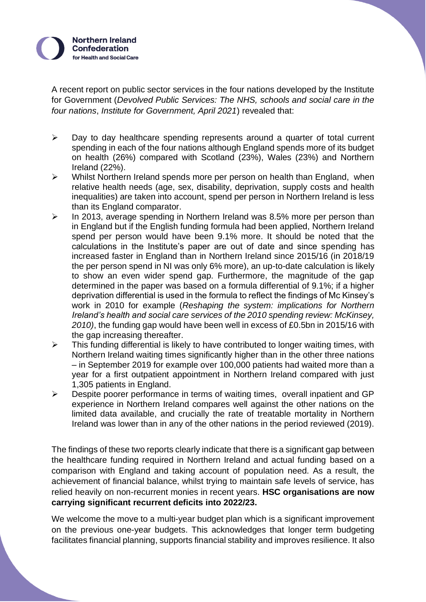

A recent report on public sector services in the four nations developed by the Institute for Government (*Devolved Public Services: The NHS, schools and social care in the four nations*, *Institute for Government, April 2021*) revealed that:

- ➢ Day to day healthcare spending represents around a quarter of total current spending in each of the four nations although England spends more of its budget on health (26%) compared with Scotland (23%), Wales (23%) and Northern Ireland (22%).
- ➢ Whilst Northern Ireland spends more per person on health than England, when relative health needs (age, sex, disability, deprivation, supply costs and health inequalities) are taken into account, spend per person in Northern Ireland is less than its England comparator.
- ➢ In 2013, average spending in Northern Ireland was 8.5% more per person than in England but if the English funding formula had been applied, Northern Ireland spend per person would have been 9.1% more. It should be noted that the calculations in the Institute's paper are out of date and since spending has increased faster in England than in Northern Ireland since 2015/16 (in 2018/19 the per person spend in NI was only 6% more), an up-to-date calculation is likely to show an even wider spend gap. Furthermore, the magnitude of the gap determined in the paper was based on a formula differential of 9.1%; if a higher deprivation differential is used in the formula to reflect the findings of Mc Kinsey's work in 2010 for example (*Reshaping the system: implications for Northern Ireland's health and social care services of the 2010 spending review: McKinsey, 2010)*, the funding gap would have been well in excess of £0.5bn in 2015/16 with the gap increasing thereafter.
- $\triangleright$  This funding differential is likely to have contributed to longer waiting times, with Northern Ireland waiting times significantly higher than in the other three nations – in September 2019 for example over 100,000 patients had waited more than a year for a first outpatient appointment in Northern Ireland compared with just 1,305 patients in England.
- ➢ Despite poorer performance in terms of waiting times, overall inpatient and GP experience in Northern Ireland compares well against the other nations on the limited data available, and crucially the rate of treatable mortality in Northern Ireland was lower than in any of the other nations in the period reviewed (2019).

The findings of these two reports clearly indicate that there is a significant gap between the healthcare funding required in Northern Ireland and actual funding based on a comparison with England and taking account of population need. As a result, the achievement of financial balance, whilst trying to maintain safe levels of service, has relied heavily on non-recurrent monies in recent years. **HSC organisations are now carrying significant recurrent deficits into 2022/23.**

We welcome the move to a multi-year budget plan which is a significant improvement on the previous one-year budgets. This acknowledges that longer term budgeting facilitates financial planning, supports financial stability and improves resilience. It also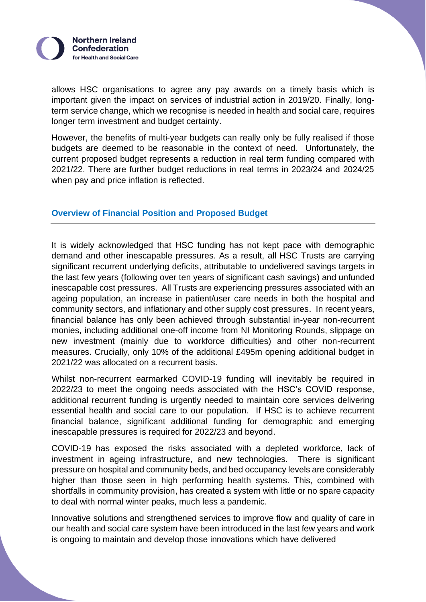

allows HSC organisations to agree any pay awards on a timely basis which is important given the impact on services of industrial action in 2019/20. Finally, longterm service change, which we recognise is needed in health and social care, requires longer term investment and budget certainty.

However, the benefits of multi-year budgets can really only be fully realised if those budgets are deemed to be reasonable in the context of need. Unfortunately, the current proposed budget represents a reduction in real term funding compared with 2021/22. There are further budget reductions in real terms in 2023/24 and 2024/25 when pay and price inflation is reflected.

# **Overview of Financial Position and Proposed Budget**

It is widely acknowledged that HSC funding has not kept pace with demographic demand and other inescapable pressures. As a result, all HSC Trusts are carrying significant recurrent underlying deficits, attributable to undelivered savings targets in the last few years (following over ten years of significant cash savings) and unfunded inescapable cost pressures. All Trusts are experiencing pressures associated with an ageing population, an increase in patient/user care needs in both the hospital and community sectors, and inflationary and other supply cost pressures. In recent years, financial balance has only been achieved through substantial in-year non-recurrent monies, including additional one-off income from NI Monitoring Rounds, slippage on new investment (mainly due to workforce difficulties) and other non-recurrent measures. Crucially, only 10% of the additional £495m opening additional budget in 2021/22 was allocated on a recurrent basis.

Whilst non-recurrent earmarked COVID-19 funding will inevitably be required in 2022/23 to meet the ongoing needs associated with the HSC's COVID response, additional recurrent funding is urgently needed to maintain core services delivering essential health and social care to our population. If HSC is to achieve recurrent financial balance, significant additional funding for demographic and emerging inescapable pressures is required for 2022/23 and beyond.

COVID-19 has exposed the risks associated with a depleted workforce, lack of investment in ageing infrastructure, and new technologies. There is significant pressure on hospital and community beds, and bed occupancy levels are considerably higher than those seen in high performing health systems. This, combined with shortfalls in community provision, has created a system with little or no spare capacity to deal with normal winter peaks, much less a pandemic.

Innovative solutions and strengthened services to improve flow and quality of care in our health and social care system have been introduced in the last few years and work is ongoing to maintain and develop those innovations which have delivered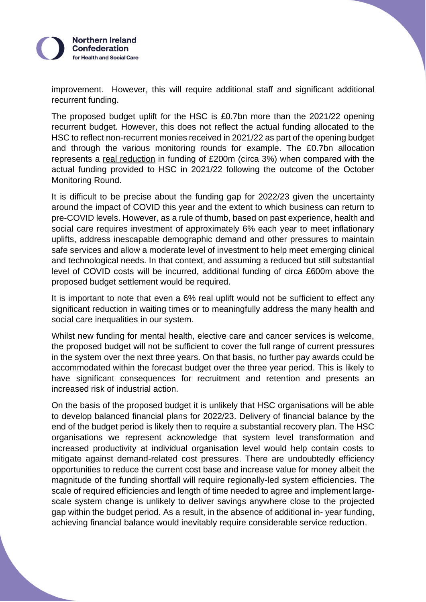

improvement. However, this will require additional staff and significant additional recurrent funding.

The proposed budget uplift for the HSC is £0.7bn more than the 2021/22 opening recurrent budget. However, this does not reflect the actual funding allocated to the HSC to reflect non-recurrent monies received in 2021/22 as part of the opening budget and through the various monitoring rounds for example. The £0.7bn allocation represents a real reduction in funding of £200m (circa 3%) when compared with the actual funding provided to HSC in 2021/22 following the outcome of the October Monitoring Round.

It is difficult to be precise about the funding gap for 2022/23 given the uncertainty around the impact of COVID this year and the extent to which business can return to pre-COVID levels. However, as a rule of thumb, based on past experience, health and social care requires investment of approximately 6% each year to meet inflationary uplifts, address inescapable demographic demand and other pressures to maintain safe services and allow a moderate level of investment to help meet emerging clinical and technological needs. In that context, and assuming a reduced but still substantial level of COVID costs will be incurred, additional funding of circa £600m above the proposed budget settlement would be required.

It is important to note that even a 6% real uplift would not be sufficient to effect any significant reduction in waiting times or to meaningfully address the many health and social care inequalities in our system.

Whilst new funding for mental health, elective care and cancer services is welcome, the proposed budget will not be sufficient to cover the full range of current pressures in the system over the next three years. On that basis, no further pay awards could be accommodated within the forecast budget over the three year period. This is likely to have significant consequences for recruitment and retention and presents an increased risk of industrial action.

On the basis of the proposed budget it is unlikely that HSC organisations will be able to develop balanced financial plans for 2022/23. Delivery of financial balance by the end of the budget period is likely then to require a substantial recovery plan. The HSC organisations we represent acknowledge that system level transformation and increased productivity at individual organisation level would help contain costs to mitigate against demand-related cost pressures. There are undoubtedly efficiency opportunities to reduce the current cost base and increase value for money albeit the magnitude of the funding shortfall will require regionally-led system efficiencies. The scale of required efficiencies and length of time needed to agree and implement largescale system change is unlikely to deliver savings anywhere close to the projected gap within the budget period. As a result, in the absence of additional in- year funding, achieving financial balance would inevitably require considerable service reduction.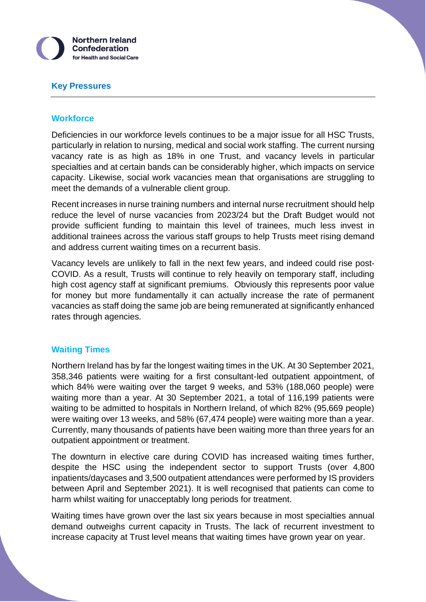

#### **Key Pressures**

### **Workforce**

Deficiencies in our workforce levels continues to be a major issue for all HSC Trusts, particularly in relation to nursing, medical and social work staffing. The current nursing vacancy rate is as high as 18% in one Trust, and vacancy levels in particular specialties and at certain bands can be considerably higher, which impacts on service capacity. Likewise, social work vacancies mean that organisations are struggling to meet the demands of a vulnerable client group.

Recent increases in nurse training numbers and internal nurse recruitment should help reduce the level of nurse vacancies from 2023/24 but the Draft Budget would not provide sufficient funding to maintain this level of trainees, much less invest in additional trainees across the various staff groups to help Trusts meet rising demand and address current waiting times on a recurrent basis.

Vacancy levels are unlikely to fall in the next few years, and indeed could rise post-COVID. As a result, Trusts will continue to rely heavily on temporary staff, including high cost agency staff at significant premiums. Obviously this represents poor value for money but more fundamentally it can actually increase the rate of permanent vacancies as staff doing the same job are being remunerated at significantly enhanced rates through agencies.

## **Waiting Times**

Northern Ireland has by far the longest waiting times in the UK. At 30 September 2021, 358,346 patients were waiting for a first consultant-led outpatient appointment, of which 84% were waiting over the target 9 weeks, and 53% (188,060 people) were waiting more than a year. At 30 September 2021, a total of 116,199 patients were waiting to be admitted to hospitals in Northern Ireland, of which 82% (95,669 people) were waiting over 13 weeks, and 58% (67,474 people) were waiting more than a year. Currently, many thousands of patients have been waiting more than three years for an outpatient appointment or treatment.

The downturn in elective care during COVID has increased waiting times further, despite the HSC using the independent sector to support Trusts (over 4,800 inpatients/daycases and 3,500 outpatient attendances were performed by IS providers between April and September 2021). It is well recognised that patients can come to harm whilst waiting for unacceptably long periods for treatment.

Waiting times have grown over the last six years because in most specialties annual demand outweighs current capacity in Trusts. The lack of recurrent investment to increase capacity at Trust level means that waiting times have grown year on year.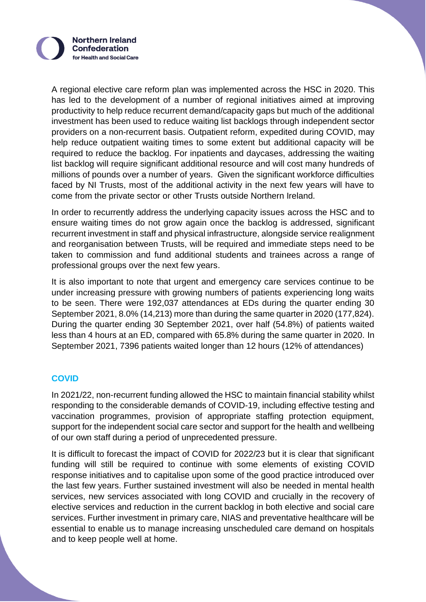

A regional elective care reform plan was implemented across the HSC in 2020. This has led to the development of a number of regional initiatives aimed at improving productivity to help reduce recurrent demand/capacity gaps but much of the additional investment has been used to reduce waiting list backlogs through independent sector providers on a non-recurrent basis. Outpatient reform, expedited during COVID, may help reduce outpatient waiting times to some extent but additional capacity will be required to reduce the backlog. For inpatients and daycases, addressing the waiting list backlog will require significant additional resource and will cost many hundreds of millions of pounds over a number of years. Given the significant workforce difficulties faced by NI Trusts, most of the additional activity in the next few years will have to come from the private sector or other Trusts outside Northern Ireland.

In order to recurrently address the underlying capacity issues across the HSC and to ensure waiting times do not grow again once the backlog is addressed, significant recurrent investment in staff and physical infrastructure, alongside service realignment and reorganisation between Trusts, will be required and immediate steps need to be taken to commission and fund additional students and trainees across a range of professional groups over the next few years.

It is also important to note that urgent and emergency care services continue to be under increasing pressure with growing numbers of patients experiencing long waits to be seen. There were 192,037 attendances at EDs during the quarter ending 30 September 2021, 8.0% (14,213) more than during the same quarter in 2020 (177,824). During the quarter ending 30 September 2021, over half (54.8%) of patients waited less than 4 hours at an ED, compared with 65.8% during the same quarter in 2020. In September 2021, 7396 patients waited longer than 12 hours (12% of attendances)

# **COVID**

In 2021/22, non-recurrent funding allowed the HSC to maintain financial stability whilst responding to the considerable demands of COVID-19, including effective testing and vaccination programmes, provision of appropriate staffing protection equipment, support for the independent social care sector and support for the health and wellbeing of our own staff during a period of unprecedented pressure.

It is difficult to forecast the impact of COVID for 2022/23 but it is clear that significant funding will still be required to continue with some elements of existing COVID response initiatives and to capitalise upon some of the good practice introduced over the last few years. Further sustained investment will also be needed in mental health services, new services associated with long COVID and crucially in the recovery of elective services and reduction in the current backlog in both elective and social care services. Further investment in primary care, NIAS and preventative healthcare will be essential to enable us to manage increasing unscheduled care demand on hospitals and to keep people well at home.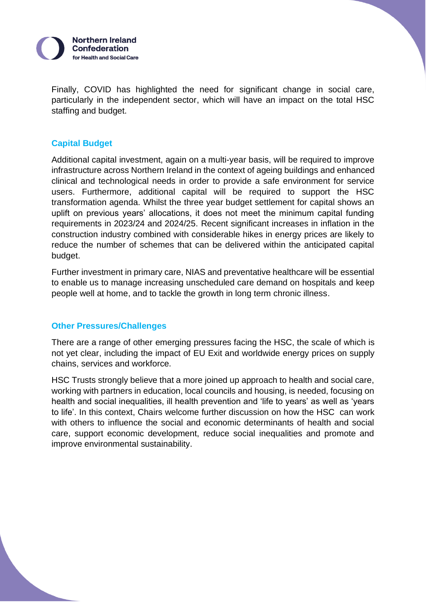

Finally, COVID has highlighted the need for significant change in social care, particularly in the independent sector, which will have an impact on the total HSC staffing and budget.

## **Capital Budget**

Additional capital investment, again on a multi-year basis, will be required to improve infrastructure across Northern Ireland in the context of ageing buildings and enhanced clinical and technological needs in order to provide a safe environment for service users. Furthermore, additional capital will be required to support the HSC transformation agenda. Whilst the three year budget settlement for capital shows an uplift on previous years' allocations, it does not meet the minimum capital funding requirements in 2023/24 and 2024/25. Recent significant increases in inflation in the construction industry combined with considerable hikes in energy prices are likely to reduce the number of schemes that can be delivered within the anticipated capital budget.

Further investment in primary care, NIAS and preventative healthcare will be essential to enable us to manage increasing unscheduled care demand on hospitals and keep people well at home, and to tackle the growth in long term chronic illness.

## **Other Pressures/Challenges**

There are a range of other emerging pressures facing the HSC, the scale of which is not yet clear, including the impact of EU Exit and worldwide energy prices on supply chains, services and workforce.

HSC Trusts strongly believe that a more joined up approach to health and social care, working with partners in education, local councils and housing, is needed, focusing on health and social inequalities, ill health prevention and 'life to years' as well as 'years to life'. In this context, Chairs welcome further discussion on how the HSC can work with others to influence the social and economic determinants of health and social care, support economic development, reduce social inequalities and promote and improve environmental sustainability.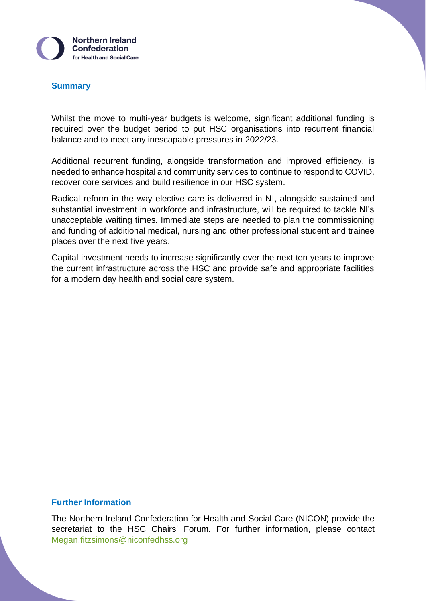

#### **Summary**

Whilst the move to multi-year budgets is welcome, significant additional funding is required over the budget period to put HSC organisations into recurrent financial balance and to meet any inescapable pressures in 2022/23.

Additional recurrent funding, alongside transformation and improved efficiency, is needed to enhance hospital and community services to continue to respond to COVID, recover core services and build resilience in our HSC system.

Radical reform in the way elective care is delivered in NI, alongside sustained and substantial investment in workforce and infrastructure, will be required to tackle NI's unacceptable waiting times. Immediate steps are needed to plan the commissioning and funding of additional medical, nursing and other professional student and trainee places over the next five years.

Capital investment needs to increase significantly over the next ten years to improve the current infrastructure across the HSC and provide safe and appropriate facilities for a modern day health and social care system.

#### **Further Information**

The Northern Ireland Confederation for Health and Social Care (NICON) provide the secretariat to the HSC Chairs' Forum. For further information, please contact [Megan.fitzsimons@niconfedhss.org](mailto:Megan.fitzsimons@niconfedhss.org)